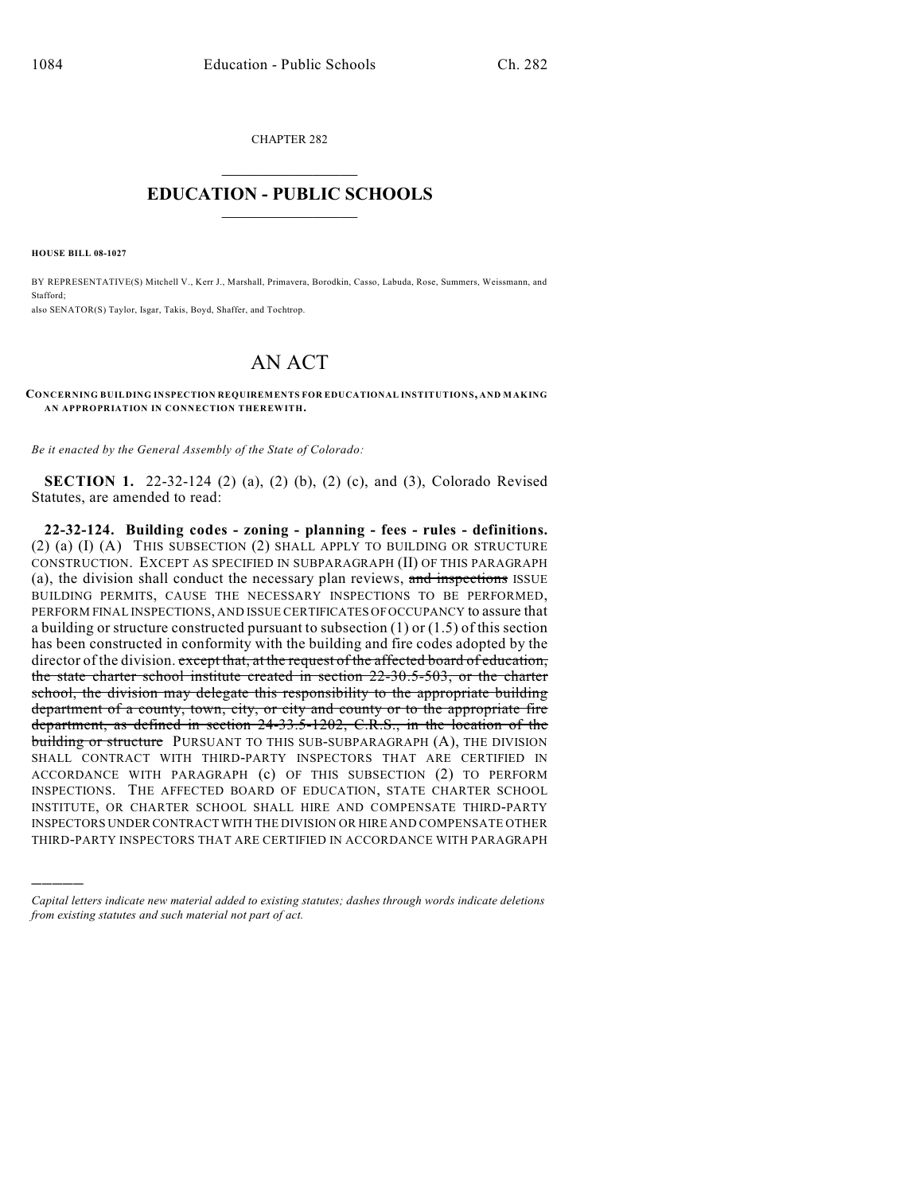CHAPTER 282  $\mathcal{L}_\text{max}$  . The set of the set of the set of the set of the set of the set of the set of the set of the set of the set of the set of the set of the set of the set of the set of the set of the set of the set of the set

## **EDUCATION - PUBLIC SCHOOLS**  $\_$   $\_$   $\_$   $\_$   $\_$   $\_$   $\_$   $\_$   $\_$

**HOUSE BILL 08-1027**

)))))

BY REPRESENTATIVE(S) Mitchell V., Kerr J., Marshall, Primavera, Borodkin, Casso, Labuda, Rose, Summers, Weissmann, and Stafford;

also SENATOR(S) Taylor, Isgar, Takis, Boyd, Shaffer, and Tochtrop.

## AN ACT

**CONCERNING BUILDING INSPECTION REQUIREMENTS FOR EDUCATIONAL INSTITUTIONS, AND MAKING AN APPROPRIATION IN CONNECTION THEREWITH.**

*Be it enacted by the General Assembly of the State of Colorado:*

**SECTION 1.** 22-32-124 (2) (a), (2) (b), (2) (c), and (3), Colorado Revised Statutes, are amended to read:

**22-32-124. Building codes - zoning - planning - fees - rules - definitions.** (2) (a) (I) (A) THIS SUBSECTION (2) SHALL APPLY TO BUILDING OR STRUCTURE CONSTRUCTION. EXCEPT AS SPECIFIED IN SUBPARAGRAPH (II) OF THIS PARAGRAPH (a), the division shall conduct the necessary plan reviews, and inspections ISSUE BUILDING PERMITS, CAUSE THE NECESSARY INSPECTIONS TO BE PERFORMED, PERFORM FINAL INSPECTIONS, AND ISSUE CERTIFICATES OF OCCUPANCY to assure that a building or structure constructed pursuant to subsection (1) or (1.5) of this section has been constructed in conformity with the building and fire codes adopted by the director of the division. except that, at the request of the affected board of education, the state charter school institute created in section 22-30.5-503, or the charter school, the division may delegate this responsibility to the appropriate building department of a county, town, city, or city and county or to the appropriate fire department, as defined in section 24-33.5-1202, C.R.S., in the location of the building or structure PURSUANT TO THIS SUB-SUBPARAGRAPH (A), THE DIVISION SHALL CONTRACT WITH THIRD-PARTY INSPECTORS THAT ARE CERTIFIED IN ACCORDANCE WITH PARAGRAPH (c) OF THIS SUBSECTION (2) TO PERFORM INSPECTIONS. THE AFFECTED BOARD OF EDUCATION, STATE CHARTER SCHOOL INSTITUTE, OR CHARTER SCHOOL SHALL HIRE AND COMPENSATE THIRD-PARTY INSPECTORS UNDER CONTRACT WITH THE DIVISION OR HIRE AND COMPENSATE OTHER THIRD-PARTY INSPECTORS THAT ARE CERTIFIED IN ACCORDANCE WITH PARAGRAPH

*Capital letters indicate new material added to existing statutes; dashes through words indicate deletions from existing statutes and such material not part of act.*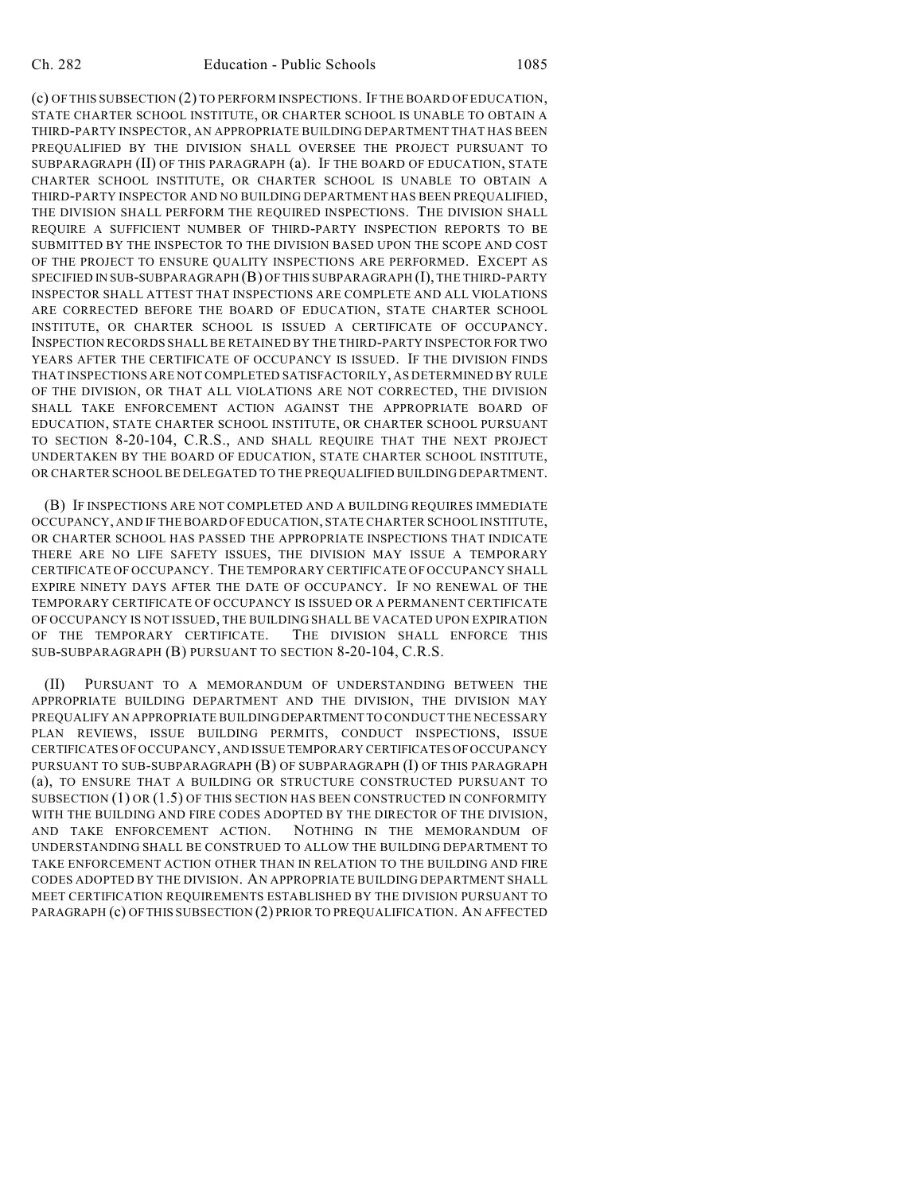(c) OF THIS SUBSECTION (2) TO PERFORM INSPECTIONS. IF THE BOARD OF EDUCATION, STATE CHARTER SCHOOL INSTITUTE, OR CHARTER SCHOOL IS UNABLE TO OBTAIN A THIRD-PARTY INSPECTOR, AN APPROPRIATE BUILDING DEPARTMENT THAT HAS BEEN PREQUALIFIED BY THE DIVISION SHALL OVERSEE THE PROJECT PURSUANT TO SUBPARAGRAPH (II) OF THIS PARAGRAPH (a). IF THE BOARD OF EDUCATION, STATE CHARTER SCHOOL INSTITUTE, OR CHARTER SCHOOL IS UNABLE TO OBTAIN A THIRD-PARTY INSPECTOR AND NO BUILDING DEPARTMENT HAS BEEN PREQUALIFIED, THE DIVISION SHALL PERFORM THE REQUIRED INSPECTIONS. THE DIVISION SHALL REQUIRE A SUFFICIENT NUMBER OF THIRD-PARTY INSPECTION REPORTS TO BE SUBMITTED BY THE INSPECTOR TO THE DIVISION BASED UPON THE SCOPE AND COST OF THE PROJECT TO ENSURE QUALITY INSPECTIONS ARE PERFORMED. EXCEPT AS SPECIFIED IN SUB-SUBPARAGRAPH (B) OF THIS SUBPARAGRAPH (I), THE THIRD-PARTY INSPECTOR SHALL ATTEST THAT INSPECTIONS ARE COMPLETE AND ALL VIOLATIONS ARE CORRECTED BEFORE THE BOARD OF EDUCATION, STATE CHARTER SCHOOL INSTITUTE, OR CHARTER SCHOOL IS ISSUED A CERTIFICATE OF OCCUPANCY. INSPECTION RECORDS SHALL BE RETAINED BY THE THIRD-PARTY INSPECTOR FOR TWO YEARS AFTER THE CERTIFICATE OF OCCUPANCY IS ISSUED. IF THE DIVISION FINDS THAT INSPECTIONS ARE NOT COMPLETED SATISFACTORILY, AS DETERMINED BY RULE OF THE DIVISION, OR THAT ALL VIOLATIONS ARE NOT CORRECTED, THE DIVISION SHALL TAKE ENFORCEMENT ACTION AGAINST THE APPROPRIATE BOARD OF EDUCATION, STATE CHARTER SCHOOL INSTITUTE, OR CHARTER SCHOOL PURSUANT TO SECTION 8-20-104, C.R.S., AND SHALL REQUIRE THAT THE NEXT PROJECT UNDERTAKEN BY THE BOARD OF EDUCATION, STATE CHARTER SCHOOL INSTITUTE, OR CHARTER SCHOOL BE DELEGATED TO THE PREQUALIFIED BUILDING DEPARTMENT.

(B) IF INSPECTIONS ARE NOT COMPLETED AND A BUILDING REQUIRES IMMEDIATE OCCUPANCY, AND IF THE BOARD OF EDUCATION, STATE CHARTER SCHOOL INSTITUTE, OR CHARTER SCHOOL HAS PASSED THE APPROPRIATE INSPECTIONS THAT INDICATE THERE ARE NO LIFE SAFETY ISSUES, THE DIVISION MAY ISSUE A TEMPORARY CERTIFICATE OF OCCUPANCY. THE TEMPORARY CERTIFICATE OF OCCUPANCY SHALL EXPIRE NINETY DAYS AFTER THE DATE OF OCCUPANCY. IF NO RENEWAL OF THE TEMPORARY CERTIFICATE OF OCCUPANCY IS ISSUED OR A PERMANENT CERTIFICATE OF OCCUPANCY IS NOT ISSUED, THE BUILDING SHALL BE VACATED UPON EXPIRATION OF THE TEMPORARY CERTIFICATE. THE DIVISION SHALL ENFORCE THIS SUB-SUBPARAGRAPH (B) PURSUANT TO SECTION 8-20-104, C.R.S.

(II) PURSUANT TO A MEMORANDUM OF UNDERSTANDING BETWEEN THE APPROPRIATE BUILDING DEPARTMENT AND THE DIVISION, THE DIVISION MAY PREQUALIFY AN APPROPRIATE BUILDING DEPARTMENT TO CONDUCT THE NECESSARY PLAN REVIEWS, ISSUE BUILDING PERMITS, CONDUCT INSPECTIONS, ISSUE CERTIFICATES OF OCCUPANCY, AND ISSUE TEMPORARY CERTIFICATES OF OCCUPANCY PURSUANT TO SUB-SUBPARAGRAPH (B) OF SUBPARAGRAPH (I) OF THIS PARAGRAPH (a), TO ENSURE THAT A BUILDING OR STRUCTURE CONSTRUCTED PURSUANT TO SUBSECTION (1) OR (1.5) OF THIS SECTION HAS BEEN CONSTRUCTED IN CONFORMITY WITH THE BUILDING AND FIRE CODES ADOPTED BY THE DIRECTOR OF THE DIVISION, AND TAKE ENFORCEMENT ACTION. NOTHING IN THE MEMORANDUM OF UNDERSTANDING SHALL BE CONSTRUED TO ALLOW THE BUILDING DEPARTMENT TO TAKE ENFORCEMENT ACTION OTHER THAN IN RELATION TO THE BUILDING AND FIRE CODES ADOPTED BY THE DIVISION. AN APPROPRIATE BUILDING DEPARTMENT SHALL MEET CERTIFICATION REQUIREMENTS ESTABLISHED BY THE DIVISION PURSUANT TO PARAGRAPH (c) OF THIS SUBSECTION (2) PRIOR TO PREQUALIFICATION. AN AFFECTED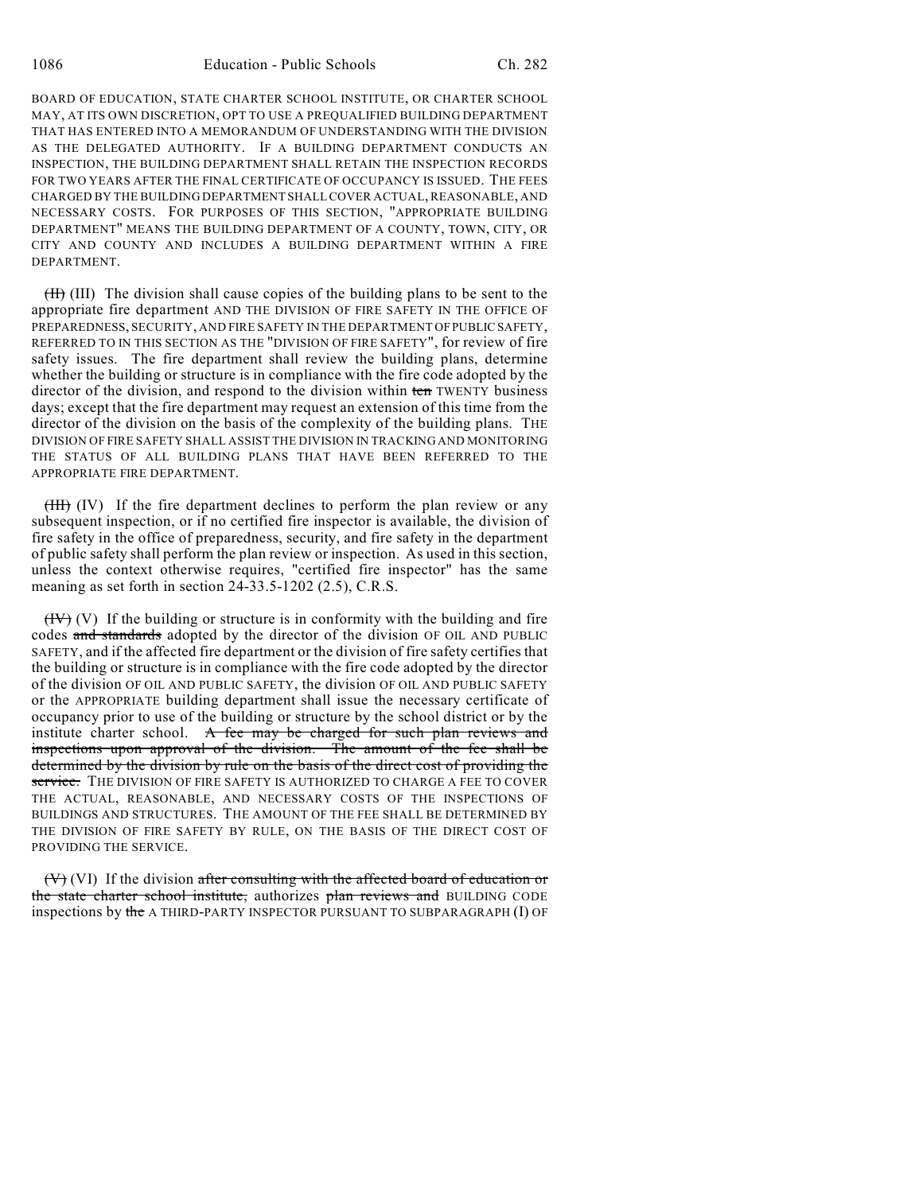BOARD OF EDUCATION, STATE CHARTER SCHOOL INSTITUTE, OR CHARTER SCHOOL MAY, AT ITS OWN DISCRETION, OPT TO USE A PREQUALIFIED BUILDING DEPARTMENT THAT HAS ENTERED INTO A MEMORANDUM OF UNDERSTANDING WITH THE DIVISION AS THE DELEGATED AUTHORITY. IF A BUILDING DEPARTMENT CONDUCTS AN INSPECTION, THE BUILDING DEPARTMENT SHALL RETAIN THE INSPECTION RECORDS FOR TWO YEARS AFTER THE FINAL CERTIFICATE OF OCCUPANCY IS ISSUED. THE FEES CHARGED BY THE BUILDING DEPARTMENT SHALL COVER ACTUAL, REASONABLE, AND NECESSARY COSTS. FOR PURPOSES OF THIS SECTION, "APPROPRIATE BUILDING DEPARTMENT" MEANS THE BUILDING DEPARTMENT OF A COUNTY, TOWN, CITY, OR CITY AND COUNTY AND INCLUDES A BUILDING DEPARTMENT WITHIN A FIRE DEPARTMENT.

(II) (III) The division shall cause copies of the building plans to be sent to the appropriate fire department AND THE DIVISION OF FIRE SAFETY IN THE OFFICE OF PREPAREDNESS, SECURITY, AND FIRE SAFETY IN THE DEPARTMENT OF PUBLIC SAFETY, REFERRED TO IN THIS SECTION AS THE "DIVISION OF FIRE SAFETY", for review of fire safety issues. The fire department shall review the building plans, determine whether the building or structure is in compliance with the fire code adopted by the director of the division, and respond to the division within ten TWENTY business days; except that the fire department may request an extension of this time from the director of the division on the basis of the complexity of the building plans. THE DIVISION OF FIRE SAFETY SHALL ASSIST THE DIVISION IN TRACKING AND MONITORING THE STATUS OF ALL BUILDING PLANS THAT HAVE BEEN REFERRED TO THE APPROPRIATE FIRE DEPARTMENT.

(III) (IV) If the fire department declines to perform the plan review or any subsequent inspection, or if no certified fire inspector is available, the division of fire safety in the office of preparedness, security, and fire safety in the department of public safety shall perform the plan review or inspection. As used in this section, unless the context otherwise requires, "certified fire inspector" has the same meaning as set forth in section 24-33.5-1202 (2.5), C.R.S.

 $(HV)$  (V) If the building or structure is in conformity with the building and fire codes and standards adopted by the director of the division OF OIL AND PUBLIC SAFETY, and if the affected fire department or the division of fire safety certifies that the building or structure is in compliance with the fire code adopted by the director of the division OF OIL AND PUBLIC SAFETY, the division OF OIL AND PUBLIC SAFETY or the APPROPRIATE building department shall issue the necessary certificate of occupancy prior to use of the building or structure by the school district or by the institute charter school.  $A$  fee may be charged for such plan reviews and inspections upon approval of the division. The amount of the fee shall be determined by the division by rule on the basis of the direct cost of providing the service. THE DIVISION OF FIRE SAFETY IS AUTHORIZED TO CHARGE A FEE TO COVER THE ACTUAL, REASONABLE, AND NECESSARY COSTS OF THE INSPECTIONS OF BUILDINGS AND STRUCTURES. THE AMOUNT OF THE FEE SHALL BE DETERMINED BY THE DIVISION OF FIRE SAFETY BY RULE, ON THE BASIS OF THE DIRECT COST OF PROVIDING THE SERVICE.

 $(V)$  (VI) If the division after consulting with the affected board of education or the state charter school institute, authorizes plan reviews and BUILDING CODE inspections by the A THIRD-PARTY INSPECTOR PURSUANT TO SUBPARAGRAPH (I) OF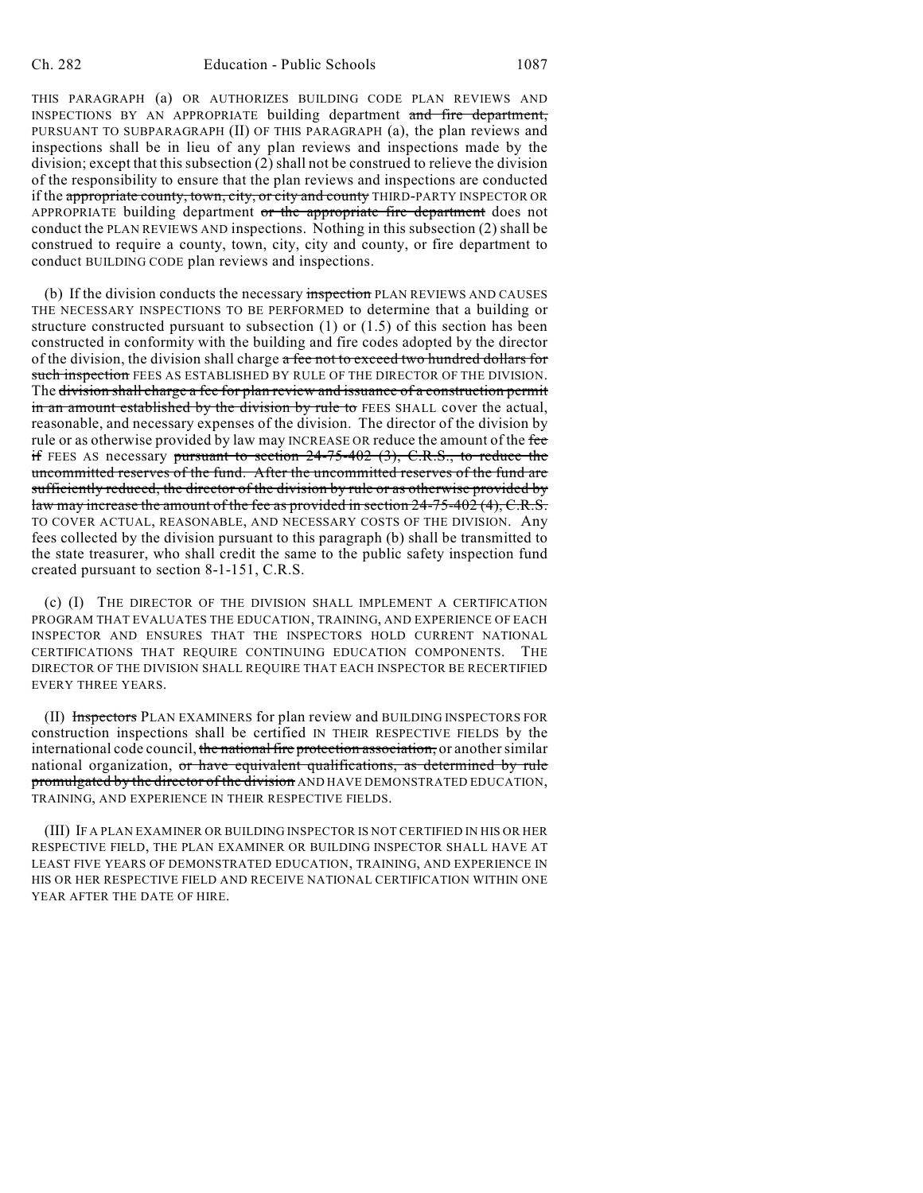THIS PARAGRAPH (a) OR AUTHORIZES BUILDING CODE PLAN REVIEWS AND INSPECTIONS BY AN APPROPRIATE building department and fire department, PURSUANT TO SUBPARAGRAPH (II) OF THIS PARAGRAPH (a), the plan reviews and inspections shall be in lieu of any plan reviews and inspections made by the division; except that this subsection (2) shall not be construed to relieve the division of the responsibility to ensure that the plan reviews and inspections are conducted if the appropriate county, town, city, or city and county THIRD-PARTY INSPECTOR OR APPROPRIATE building department or the appropriate fire department does not conduct the PLAN REVIEWS AND inspections. Nothing in this subsection (2) shall be construed to require a county, town, city, city and county, or fire department to conduct BUILDING CODE plan reviews and inspections.

(b) If the division conducts the necessary inspection PLAN REVIEWS AND CAUSES THE NECESSARY INSPECTIONS TO BE PERFORMED to determine that a building or structure constructed pursuant to subsection  $(1)$  or  $(1.5)$  of this section has been constructed in conformity with the building and fire codes adopted by the director of the division, the division shall charge a fee not to exceed two hundred dollars for such inspection FEES AS ESTABLISHED BY RULE OF THE DIRECTOR OF THE DIVISION. The division shall charge a fee for plan review and issuance of a construction permit in an amount established by the division by rule to FEES SHALL cover the actual, reasonable, and necessary expenses of the division. The director of the division by rule or as otherwise provided by law may INCREASE OR reduce the amount of the fee if FEES AS necessary pursuant to section  $24-75-402$  (3), C.R.S., to reduce the uncommitted reserves of the fund. After the uncommitted reserves of the fund are sufficiently reduced, the director of the division by rule or as otherwise provided by law may increase the amount of the fee as provided in section 24-75-402 (4), C.R.S. TO COVER ACTUAL, REASONABLE, AND NECESSARY COSTS OF THE DIVISION. Any fees collected by the division pursuant to this paragraph (b) shall be transmitted to the state treasurer, who shall credit the same to the public safety inspection fund created pursuant to section 8-1-151, C.R.S.

(c) (I) THE DIRECTOR OF THE DIVISION SHALL IMPLEMENT A CERTIFICATION PROGRAM THAT EVALUATES THE EDUCATION, TRAINING, AND EXPERIENCE OF EACH INSPECTOR AND ENSURES THAT THE INSPECTORS HOLD CURRENT NATIONAL CERTIFICATIONS THAT REQUIRE CONTINUING EDUCATION COMPONENTS. THE DIRECTOR OF THE DIVISION SHALL REQUIRE THAT EACH INSPECTOR BE RECERTIFIED EVERY THREE YEARS.

(II) Inspectors PLAN EXAMINERS for plan review and BUILDING INSPECTORS FOR construction inspections shall be certified IN THEIR RESPECTIVE FIELDS by the international code council, the national fire protection association, or another similar national organization, or have equivalent qualifications, as determined by rule promulgated by the director of the division AND HAVE DEMONSTRATED EDUCATION, TRAINING, AND EXPERIENCE IN THEIR RESPECTIVE FIELDS.

(III) IF A PLAN EXAMINER OR BUILDING INSPECTOR IS NOT CERTIFIED IN HIS OR HER RESPECTIVE FIELD, THE PLAN EXAMINER OR BUILDING INSPECTOR SHALL HAVE AT LEAST FIVE YEARS OF DEMONSTRATED EDUCATION, TRAINING, AND EXPERIENCE IN HIS OR HER RESPECTIVE FIELD AND RECEIVE NATIONAL CERTIFICATION WITHIN ONE YEAR AFTER THE DATE OF HIRE.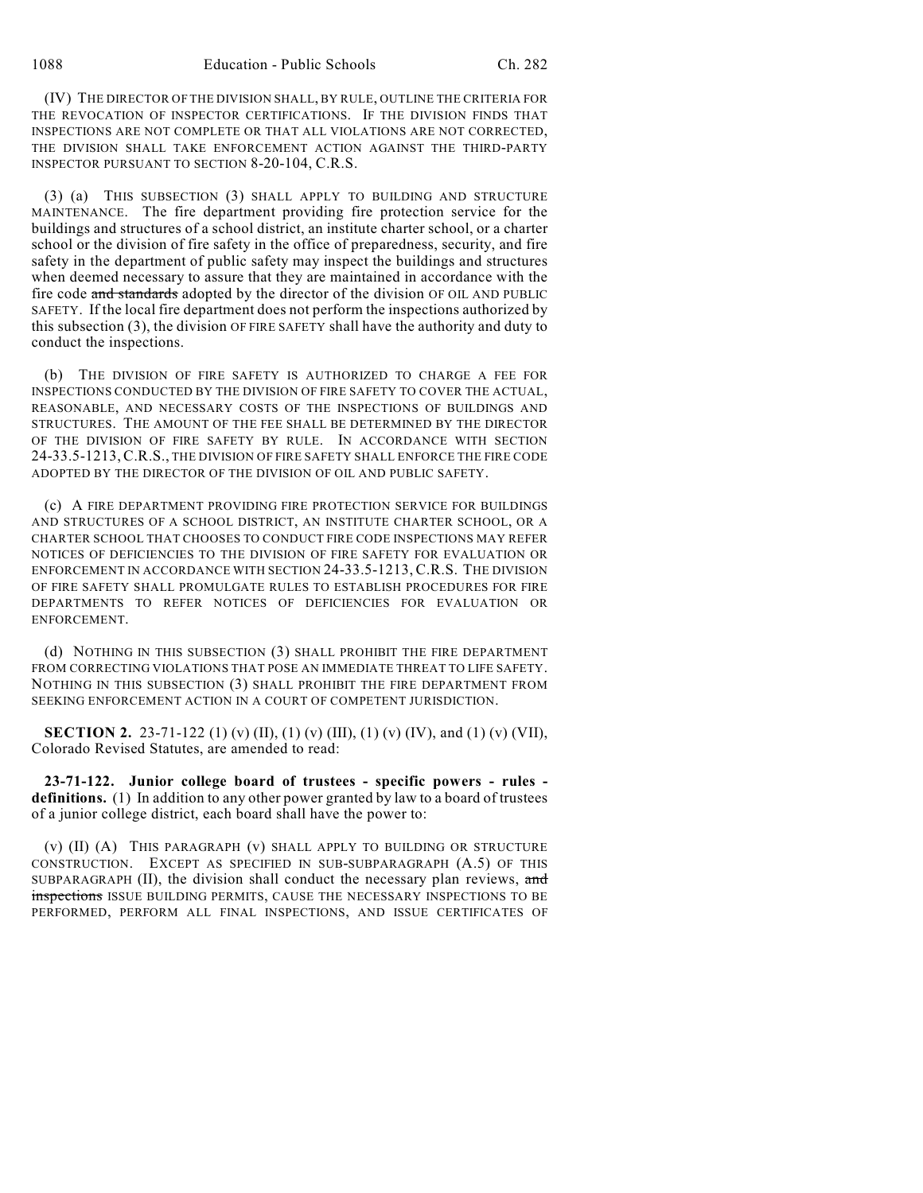(IV) THE DIRECTOR OF THE DIVISION SHALL, BY RULE, OUTLINE THE CRITERIA FOR THE REVOCATION OF INSPECTOR CERTIFICATIONS. IF THE DIVISION FINDS THAT INSPECTIONS ARE NOT COMPLETE OR THAT ALL VIOLATIONS ARE NOT CORRECTED, THE DIVISION SHALL TAKE ENFORCEMENT ACTION AGAINST THE THIRD-PARTY INSPECTOR PURSUANT TO SECTION 8-20-104, C.R.S.

(3) (a) THIS SUBSECTION (3) SHALL APPLY TO BUILDING AND STRUCTURE MAINTENANCE. The fire department providing fire protection service for the buildings and structures of a school district, an institute charter school, or a charter school or the division of fire safety in the office of preparedness, security, and fire safety in the department of public safety may inspect the buildings and structures when deemed necessary to assure that they are maintained in accordance with the fire code and standards adopted by the director of the division OF OIL AND PUBLIC SAFETY. If the local fire department does not perform the inspections authorized by this subsection (3), the division OF FIRE SAFETY shall have the authority and duty to conduct the inspections.

(b) THE DIVISION OF FIRE SAFETY IS AUTHORIZED TO CHARGE A FEE FOR INSPECTIONS CONDUCTED BY THE DIVISION OF FIRE SAFETY TO COVER THE ACTUAL, REASONABLE, AND NECESSARY COSTS OF THE INSPECTIONS OF BUILDINGS AND STRUCTURES. THE AMOUNT OF THE FEE SHALL BE DETERMINED BY THE DIRECTOR OF THE DIVISION OF FIRE SAFETY BY RULE. IN ACCORDANCE WITH SECTION 24-33.5-1213,C.R.S., THE DIVISION OF FIRE SAFETY SHALL ENFORCE THE FIRE CODE ADOPTED BY THE DIRECTOR OF THE DIVISION OF OIL AND PUBLIC SAFETY.

(c) A FIRE DEPARTMENT PROVIDING FIRE PROTECTION SERVICE FOR BUILDINGS AND STRUCTURES OF A SCHOOL DISTRICT, AN INSTITUTE CHARTER SCHOOL, OR A CHARTER SCHOOL THAT CHOOSES TO CONDUCT FIRE CODE INSPECTIONS MAY REFER NOTICES OF DEFICIENCIES TO THE DIVISION OF FIRE SAFETY FOR EVALUATION OR ENFORCEMENT IN ACCORDANCE WITH SECTION 24-33.5-1213, C.R.S. THE DIVISION OF FIRE SAFETY SHALL PROMULGATE RULES TO ESTABLISH PROCEDURES FOR FIRE DEPARTMENTS TO REFER NOTICES OF DEFICIENCIES FOR EVALUATION OR ENFORCEMENT.

(d) NOTHING IN THIS SUBSECTION (3) SHALL PROHIBIT THE FIRE DEPARTMENT FROM CORRECTING VIOLATIONS THAT POSE AN IMMEDIATE THREAT TO LIFE SAFETY. NOTHING IN THIS SUBSECTION (3) SHALL PROHIBIT THE FIRE DEPARTMENT FROM SEEKING ENFORCEMENT ACTION IN A COURT OF COMPETENT JURISDICTION.

**SECTION 2.** 23-71-122 (1) (v) (II), (1) (v) (III), (1) (v) (IV), and (1) (v) (VII), Colorado Revised Statutes, are amended to read:

**23-71-122. Junior college board of trustees - specific powers - rules definitions.** (1) In addition to any other power granted by law to a board of trustees of a junior college district, each board shall have the power to:

(v) (II) (A) THIS PARAGRAPH (v) SHALL APPLY TO BUILDING OR STRUCTURE CONSTRUCTION. EXCEPT AS SPECIFIED IN SUB-SUBPARAGRAPH (A.5) OF THIS SUBPARAGRAPH  $(II)$ , the division shall conduct the necessary plan reviews, and inspections ISSUE BUILDING PERMITS, CAUSE THE NECESSARY INSPECTIONS TO BE PERFORMED, PERFORM ALL FINAL INSPECTIONS, AND ISSUE CERTIFICATES OF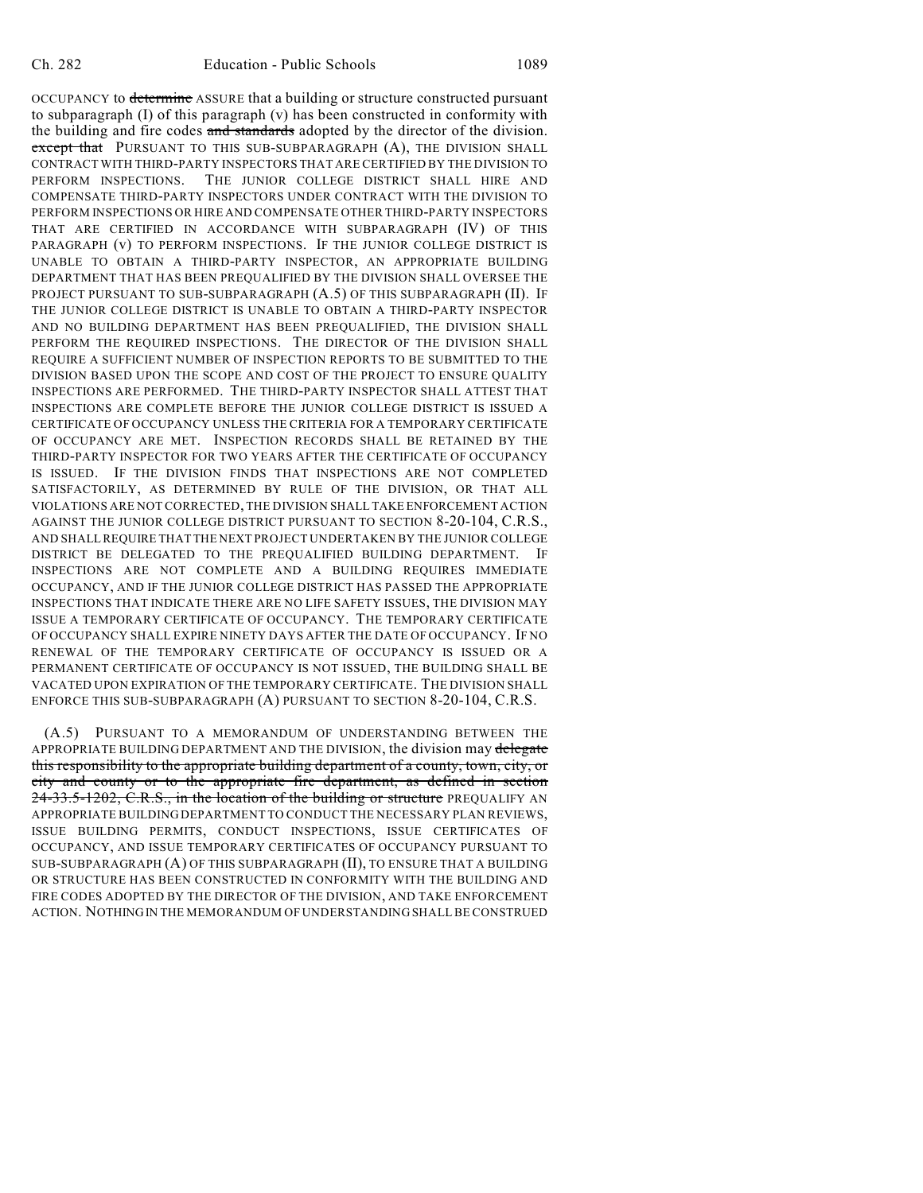OCCUPANCY to determine ASSURE that a building or structure constructed pursuant to subparagraph  $(I)$  of this paragraph  $(v)$  has been constructed in conformity with the building and fire codes and standards adopted by the director of the division. except that PURSUANT TO THIS SUB-SUBPARAGRAPH (A), THE DIVISION SHALL CONTRACT WITH THIRD-PARTY INSPECTORS THAT ARE CERTIFIED BY THE DIVISION TO PERFORM INSPECTIONS. THE JUNIOR COLLEGE DISTRICT SHALL HIRE AND COMPENSATE THIRD-PARTY INSPECTORS UNDER CONTRACT WITH THE DIVISION TO PERFORM INSPECTIONS OR HIRE AND COMPENSATE OTHER THIRD-PARTY INSPECTORS THAT ARE CERTIFIED IN ACCORDANCE WITH SUBPARAGRAPH (IV) OF THIS PARAGRAPH (v) TO PERFORM INSPECTIONS. IF THE JUNIOR COLLEGE DISTRICT IS UNABLE TO OBTAIN A THIRD-PARTY INSPECTOR, AN APPROPRIATE BUILDING DEPARTMENT THAT HAS BEEN PREQUALIFIED BY THE DIVISION SHALL OVERSEE THE PROJECT PURSUANT TO SUB-SUBPARAGRAPH (A.5) OF THIS SUBPARAGRAPH (II). IF THE JUNIOR COLLEGE DISTRICT IS UNABLE TO OBTAIN A THIRD-PARTY INSPECTOR AND NO BUILDING DEPARTMENT HAS BEEN PREQUALIFIED, THE DIVISION SHALL PERFORM THE REQUIRED INSPECTIONS. THE DIRECTOR OF THE DIVISION SHALL REQUIRE A SUFFICIENT NUMBER OF INSPECTION REPORTS TO BE SUBMITTED TO THE DIVISION BASED UPON THE SCOPE AND COST OF THE PROJECT TO ENSURE QUALITY INSPECTIONS ARE PERFORMED. THE THIRD-PARTY INSPECTOR SHALL ATTEST THAT INSPECTIONS ARE COMPLETE BEFORE THE JUNIOR COLLEGE DISTRICT IS ISSUED A CERTIFICATE OF OCCUPANCY UNLESS THE CRITERIA FOR A TEMPORARY CERTIFICATE OF OCCUPANCY ARE MET. INSPECTION RECORDS SHALL BE RETAINED BY THE THIRD-PARTY INSPECTOR FOR TWO YEARS AFTER THE CERTIFICATE OF OCCUPANCY IS ISSUED. IF THE DIVISION FINDS THAT INSPECTIONS ARE NOT COMPLETED SATISFACTORILY, AS DETERMINED BY RULE OF THE DIVISION, OR THAT ALL VIOLATIONS ARE NOT CORRECTED, THE DIVISION SHALL TAKE ENFORCEMENT ACTION AGAINST THE JUNIOR COLLEGE DISTRICT PURSUANT TO SECTION 8-20-104, C.R.S., AND SHALL REQUIRE THAT THE NEXT PROJECT UNDERTAKEN BY THE JUNIOR COLLEGE DISTRICT BE DELEGATED TO THE PREQUALIFIED BUILDING DEPARTMENT. IF INSPECTIONS ARE NOT COMPLETE AND A BUILDING REQUIRES IMMEDIATE OCCUPANCY, AND IF THE JUNIOR COLLEGE DISTRICT HAS PASSED THE APPROPRIATE INSPECTIONS THAT INDICATE THERE ARE NO LIFE SAFETY ISSUES, THE DIVISION MAY ISSUE A TEMPORARY CERTIFICATE OF OCCUPANCY. THE TEMPORARY CERTIFICATE OF OCCUPANCY SHALL EXPIRE NINETY DAYS AFTER THE DATE OF OCCUPANCY. IF NO RENEWAL OF THE TEMPORARY CERTIFICATE OF OCCUPANCY IS ISSUED OR A PERMANENT CERTIFICATE OF OCCUPANCY IS NOT ISSUED, THE BUILDING SHALL BE VACATED UPON EXPIRATION OF THE TEMPORARY CERTIFICATE. THE DIVISION SHALL ENFORCE THIS SUB-SUBPARAGRAPH (A) PURSUANT TO SECTION 8-20-104, C.R.S.

(A.5) PURSUANT TO A MEMORANDUM OF UNDERSTANDING BETWEEN THE APPROPRIATE BUILDING DEPARTMENT AND THE DIVISION, the division may delegate this responsibility to the appropriate building department of a county, town, city, or city and county or to the appropriate fire department, as defined in section 24-33.5-1202, C.R.S., in the location of the building or structure PREQUALIFY AN APPROPRIATE BUILDING DEPARTMENT TO CONDUCT THE NECESSARY PLAN REVIEWS, ISSUE BUILDING PERMITS, CONDUCT INSPECTIONS, ISSUE CERTIFICATES OF OCCUPANCY, AND ISSUE TEMPORARY CERTIFICATES OF OCCUPANCY PURSUANT TO SUB-SUBPARAGRAPH (A) OF THIS SUBPARAGRAPH (II), TO ENSURE THAT A BUILDING OR STRUCTURE HAS BEEN CONSTRUCTED IN CONFORMITY WITH THE BUILDING AND FIRE CODES ADOPTED BY THE DIRECTOR OF THE DIVISION, AND TAKE ENFORCEMENT ACTION. NOTHING IN THE MEMORANDUM OF UNDERSTANDING SHALL BE CONSTRUED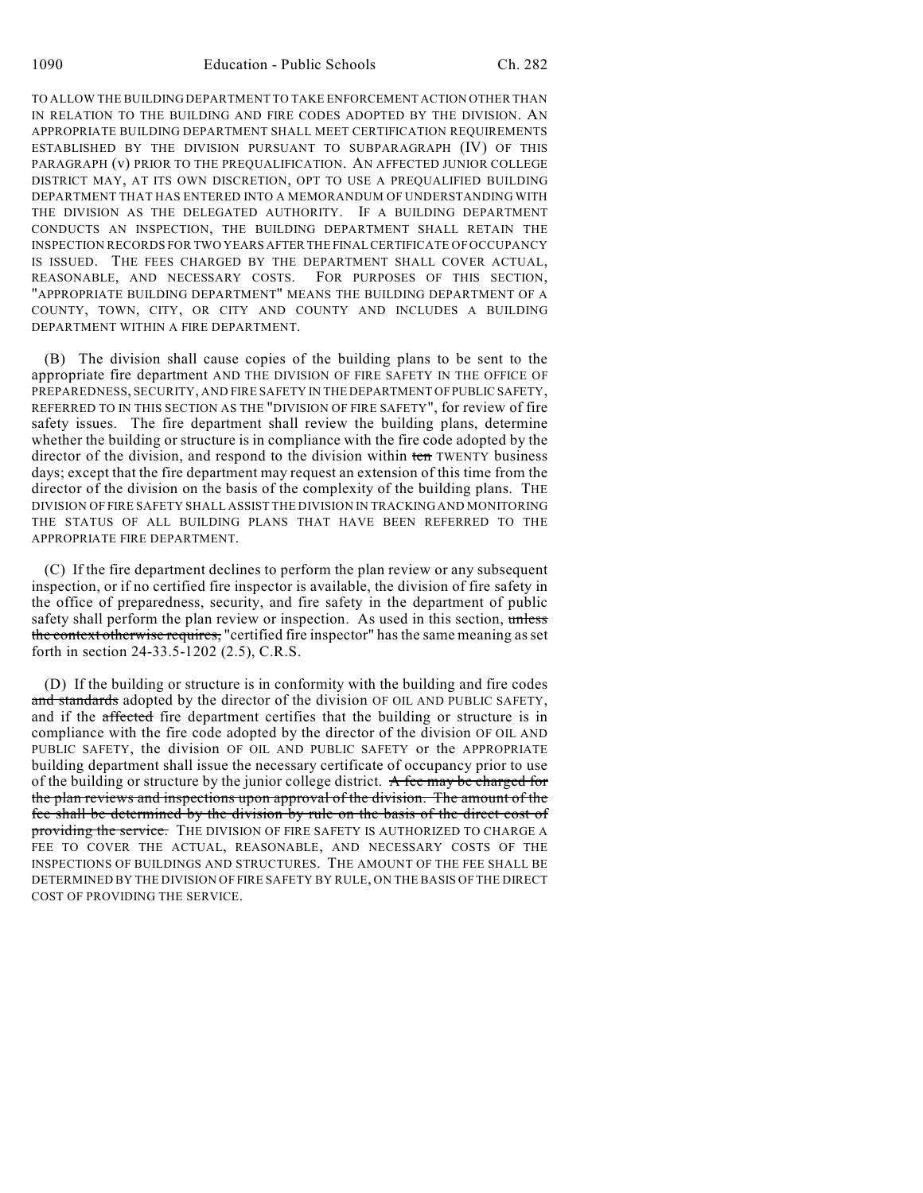TO ALLOW THE BUILDING DEPARTMENT TO TAKE ENFORCEMENT ACTION OTHER THAN IN RELATION TO THE BUILDING AND FIRE CODES ADOPTED BY THE DIVISION. AN APPROPRIATE BUILDING DEPARTMENT SHALL MEET CERTIFICATION REQUIREMENTS ESTABLISHED BY THE DIVISION PURSUANT TO SUBPARAGRAPH (IV) OF THIS PARAGRAPH (v) PRIOR TO THE PREQUALIFICATION. AN AFFECTED JUNIOR COLLEGE DISTRICT MAY, AT ITS OWN DISCRETION, OPT TO USE A PREQUALIFIED BUILDING DEPARTMENT THAT HAS ENTERED INTO A MEMORANDUM OF UNDERSTANDING WITH THE DIVISION AS THE DELEGATED AUTHORITY. IF A BUILDING DEPARTMENT CONDUCTS AN INSPECTION, THE BUILDING DEPARTMENT SHALL RETAIN THE INSPECTION RECORDS FOR TWO YEARS AFTER THE FINAL CERTIFICATE OF OCCUPANCY IS ISSUED. THE FEES CHARGED BY THE DEPARTMENT SHALL COVER ACTUAL, REASONABLE, AND NECESSARY COSTS. FOR PURPOSES OF THIS SECTION, "APPROPRIATE BUILDING DEPARTMENT" MEANS THE BUILDING DEPARTMENT OF A COUNTY, TOWN, CITY, OR CITY AND COUNTY AND INCLUDES A BUILDING DEPARTMENT WITHIN A FIRE DEPARTMENT.

(B) The division shall cause copies of the building plans to be sent to the appropriate fire department AND THE DIVISION OF FIRE SAFETY IN THE OFFICE OF PREPAREDNESS, SECURITY, AND FIRE SAFETY IN THE DEPARTMENT OF PUBLIC SAFETY, REFERRED TO IN THIS SECTION AS THE "DIVISION OF FIRE SAFETY", for review of fire safety issues. The fire department shall review the building plans, determine whether the building or structure is in compliance with the fire code adopted by the director of the division, and respond to the division within ten TWENTY business days; except that the fire department may request an extension of this time from the director of the division on the basis of the complexity of the building plans. THE DIVISION OF FIRE SAFETY SHALL ASSIST THE DIVISION IN TRACKING AND MONITORING THE STATUS OF ALL BUILDING PLANS THAT HAVE BEEN REFERRED TO THE APPROPRIATE FIRE DEPARTMENT.

(C) If the fire department declines to perform the plan review or any subsequent inspection, or if no certified fire inspector is available, the division of fire safety in the office of preparedness, security, and fire safety in the department of public safety shall perform the plan review or inspection. As used in this section, unless the context otherwise requires, "certified fire inspector" has the same meaning as set forth in section 24-33.5-1202 (2.5), C.R.S.

(D) If the building or structure is in conformity with the building and fire codes and standards adopted by the director of the division OF OIL AND PUBLIC SAFETY, and if the affected fire department certifies that the building or structure is in compliance with the fire code adopted by the director of the division OF OIL AND PUBLIC SAFETY, the division OF OIL AND PUBLIC SAFETY or the APPROPRIATE building department shall issue the necessary certificate of occupancy prior to use of the building or structure by the junior college district. A fee may be charged for the plan reviews and inspections upon approval of the division. The amount of the fee shall be determined by the division by rule on the basis of the direct cost of providing the service. THE DIVISION OF FIRE SAFETY IS AUTHORIZED TO CHARGE A FEE TO COVER THE ACTUAL, REASONABLE, AND NECESSARY COSTS OF THE INSPECTIONS OF BUILDINGS AND STRUCTURES. THE AMOUNT OF THE FEE SHALL BE DETERMINED BY THE DIVISION OF FIRE SAFETY BY RULE, ON THE BASIS OF THE DIRECT COST OF PROVIDING THE SERVICE.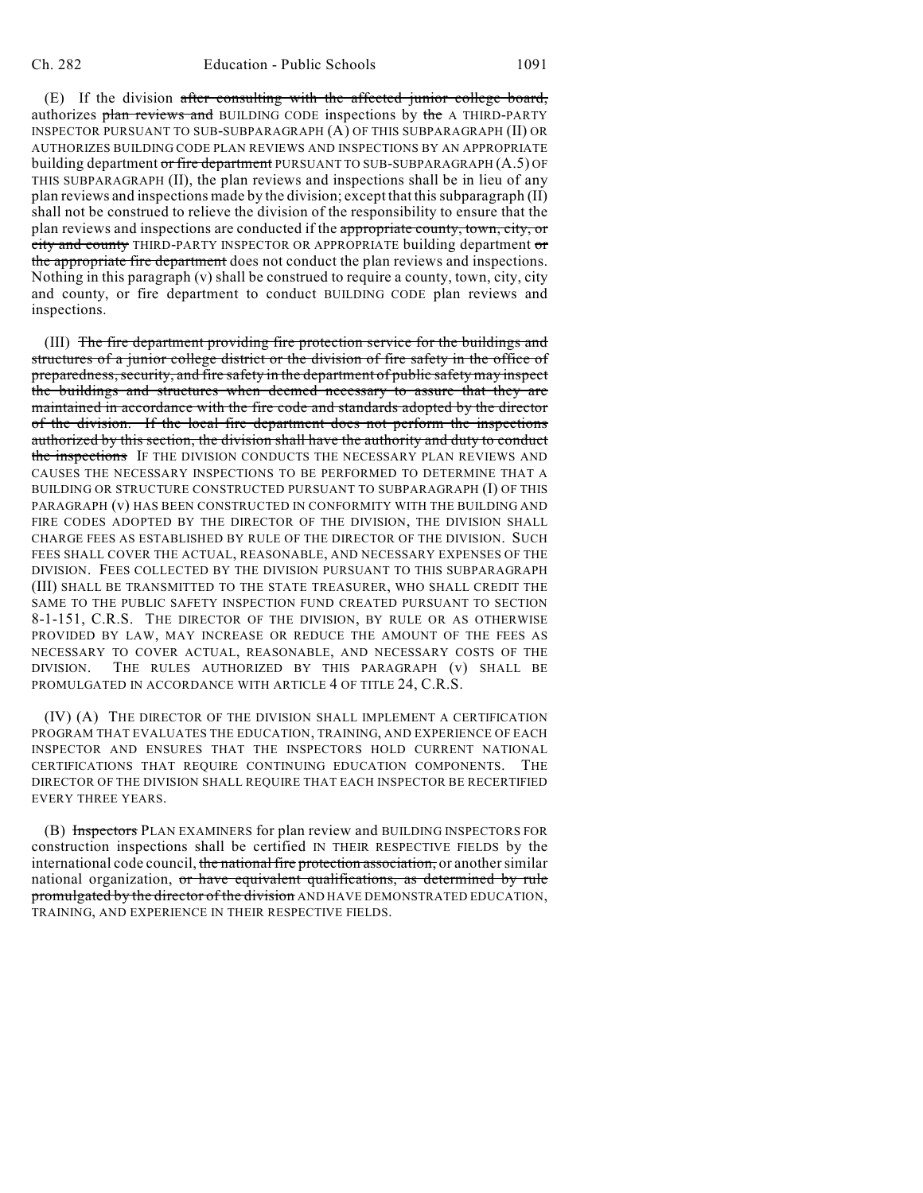(E) If the division after consulting with the affected junior college board, authorizes plan reviews and BUILDING CODE inspections by the A THIRD-PARTY INSPECTOR PURSUANT TO SUB-SUBPARAGRAPH (A) OF THIS SUBPARAGRAPH (II) OR AUTHORIZES BUILDING CODE PLAN REVIEWS AND INSPECTIONS BY AN APPROPRIATE building department or fire department PURSUANT TO SUB-SUBPARAGRAPH (A.5) OF THIS SUBPARAGRAPH (II), the plan reviews and inspections shall be in lieu of any plan reviews and inspections made by the division; except that this subparagraph (II) shall not be construed to relieve the division of the responsibility to ensure that the plan reviews and inspections are conducted if the appropriate county, town, city, or city and county THIRD-PARTY INSPECTOR OR APPROPRIATE building department or the appropriate fire department does not conduct the plan reviews and inspections. Nothing in this paragraph (v) shall be construed to require a county, town, city, city and county, or fire department to conduct BUILDING CODE plan reviews and inspections.

(III) The fire department providing fire protection service for the buildings and structures of a junior college district or the division of fire safety in the office of preparedness, security, and fire safety in the department of public safety may inspect the buildings and structures when deemed necessary to assure that they are maintained in accordance with the fire code and standards adopted by the director of the division. If the local fire department does not perform the inspections authorized by this section, the division shall have the authority and duty to conduct the inspections IF THE DIVISION CONDUCTS THE NECESSARY PLAN REVIEWS AND CAUSES THE NECESSARY INSPECTIONS TO BE PERFORMED TO DETERMINE THAT A BUILDING OR STRUCTURE CONSTRUCTED PURSUANT TO SUBPARAGRAPH (I) OF THIS PARAGRAPH (v) HAS BEEN CONSTRUCTED IN CONFORMITY WITH THE BUILDING AND FIRE CODES ADOPTED BY THE DIRECTOR OF THE DIVISION, THE DIVISION SHALL CHARGE FEES AS ESTABLISHED BY RULE OF THE DIRECTOR OF THE DIVISION. SUCH FEES SHALL COVER THE ACTUAL, REASONABLE, AND NECESSARY EXPENSES OF THE DIVISION. FEES COLLECTED BY THE DIVISION PURSUANT TO THIS SUBPARAGRAPH (III) SHALL BE TRANSMITTED TO THE STATE TREASURER, WHO SHALL CREDIT THE SAME TO THE PUBLIC SAFETY INSPECTION FUND CREATED PURSUANT TO SECTION 8-1-151, C.R.S. THE DIRECTOR OF THE DIVISION, BY RULE OR AS OTHERWISE PROVIDED BY LAW, MAY INCREASE OR REDUCE THE AMOUNT OF THE FEES AS NECESSARY TO COVER ACTUAL, REASONABLE, AND NECESSARY COSTS OF THE DIVISION. THE RULES AUTHORIZED BY THIS PARAGRAPH (v) SHALL BE PROMULGATED IN ACCORDANCE WITH ARTICLE 4 OF TITLE 24, C.R.S.

(IV) (A) THE DIRECTOR OF THE DIVISION SHALL IMPLEMENT A CERTIFICATION PROGRAM THAT EVALUATES THE EDUCATION, TRAINING, AND EXPERIENCE OF EACH INSPECTOR AND ENSURES THAT THE INSPECTORS HOLD CURRENT NATIONAL CERTIFICATIONS THAT REQUIRE CONTINUING EDUCATION COMPONENTS. THE DIRECTOR OF THE DIVISION SHALL REQUIRE THAT EACH INSPECTOR BE RECERTIFIED EVERY THREE YEARS.

(B) Inspectors PLAN EXAMINERS for plan review and BUILDING INSPECTORS FOR construction inspections shall be certified IN THEIR RESPECTIVE FIELDS by the international code council, the national fire protection association, or another similar national organization, or have equivalent qualifications, as determined by rule promulgated by the director of the division AND HAVE DEMONSTRATED EDUCATION, TRAINING, AND EXPERIENCE IN THEIR RESPECTIVE FIELDS.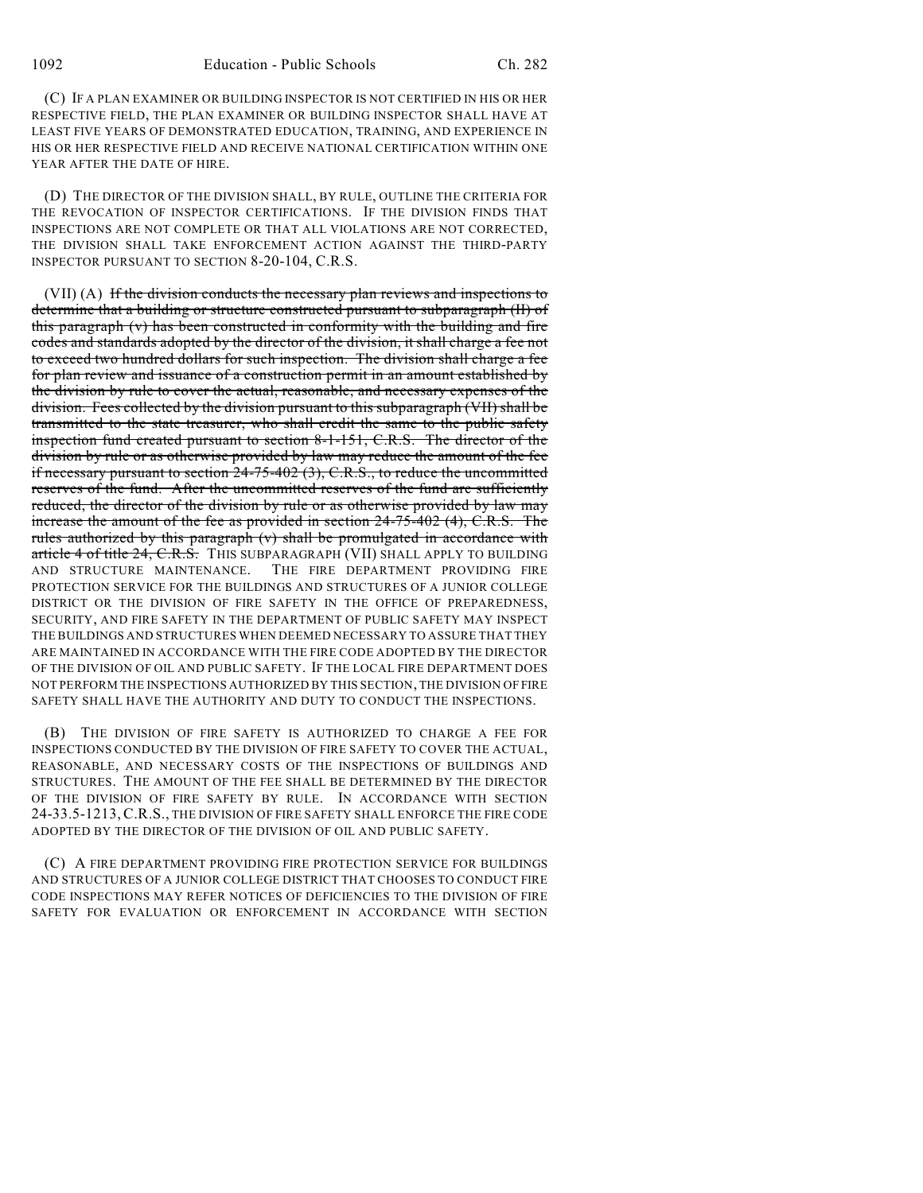(C) IF A PLAN EXAMINER OR BUILDING INSPECTOR IS NOT CERTIFIED IN HIS OR HER RESPECTIVE FIELD, THE PLAN EXAMINER OR BUILDING INSPECTOR SHALL HAVE AT LEAST FIVE YEARS OF DEMONSTRATED EDUCATION, TRAINING, AND EXPERIENCE IN HIS OR HER RESPECTIVE FIELD AND RECEIVE NATIONAL CERTIFICATION WITHIN ONE YEAR AFTER THE DATE OF HIRE.

(D) THE DIRECTOR OF THE DIVISION SHALL, BY RULE, OUTLINE THE CRITERIA FOR THE REVOCATION OF INSPECTOR CERTIFICATIONS. IF THE DIVISION FINDS THAT INSPECTIONS ARE NOT COMPLETE OR THAT ALL VIOLATIONS ARE NOT CORRECTED, THE DIVISION SHALL TAKE ENFORCEMENT ACTION AGAINST THE THIRD-PARTY INSPECTOR PURSUANT TO SECTION 8-20-104, C.R.S.

(VII) (A) If the division conducts the necessary plan reviews and inspections to determine that a building or structure constructed pursuant to subparagraph (II) of this paragraph (v) has been constructed in conformity with the building and fire codes and standards adopted by the director of the division, it shall charge a fee not to exceed two hundred dollars for such inspection. The division shall charge a fee for plan review and issuance of a construction permit in an amount established by the division by rule to cover the actual, reasonable, and necessary expenses of the division. Fees collected by the division pursuant to this subparagraph (VII) shall be transmitted to the state treasurer, who shall credit the same to the public safety inspection fund created pursuant to section 8-1-151, C.R.S. The director of the division by rule or as otherwise provided by law may reduce the amount of the fee if necessary pursuant to section  $24-75-402$  (3), C.R.S., to reduce the uncommitted reserves of the fund. After the uncommitted reserves of the fund are sufficiently reduced, the director of the division by rule or as otherwise provided by law may increase the amount of the fee as provided in section 24-75-402 (4), C.R.S. The rules authorized by this paragraph (v) shall be promulgated in accordance with article 4 of title 24, C.R.S. THIS SUBPARAGRAPH (VII) SHALL APPLY TO BUILDING AND STRUCTURE MAINTENANCE. THE FIRE DEPARTMENT PROVIDING FIRE PROTECTION SERVICE FOR THE BUILDINGS AND STRUCTURES OF A JUNIOR COLLEGE DISTRICT OR THE DIVISION OF FIRE SAFETY IN THE OFFICE OF PREPAREDNESS, SECURITY, AND FIRE SAFETY IN THE DEPARTMENT OF PUBLIC SAFETY MAY INSPECT THE BUILDINGS AND STRUCTURES WHEN DEEMED NECESSARY TO ASSURE THAT THEY ARE MAINTAINED IN ACCORDANCE WITH THE FIRE CODE ADOPTED BY THE DIRECTOR OF THE DIVISION OF OIL AND PUBLIC SAFETY. IF THE LOCAL FIRE DEPARTMENT DOES NOT PERFORM THE INSPECTIONS AUTHORIZED BY THIS SECTION, THE DIVISION OF FIRE SAFETY SHALL HAVE THE AUTHORITY AND DUTY TO CONDUCT THE INSPECTIONS.

(B) THE DIVISION OF FIRE SAFETY IS AUTHORIZED TO CHARGE A FEE FOR INSPECTIONS CONDUCTED BY THE DIVISION OF FIRE SAFETY TO COVER THE ACTUAL, REASONABLE, AND NECESSARY COSTS OF THE INSPECTIONS OF BUILDINGS AND STRUCTURES. THE AMOUNT OF THE FEE SHALL BE DETERMINED BY THE DIRECTOR OF THE DIVISION OF FIRE SAFETY BY RULE. IN ACCORDANCE WITH SECTION 24-33.5-1213,C.R.S., THE DIVISION OF FIRE SAFETY SHALL ENFORCE THE FIRE CODE ADOPTED BY THE DIRECTOR OF THE DIVISION OF OIL AND PUBLIC SAFETY.

(C) A FIRE DEPARTMENT PROVIDING FIRE PROTECTION SERVICE FOR BUILDINGS AND STRUCTURES OF A JUNIOR COLLEGE DISTRICT THAT CHOOSES TO CONDUCT FIRE CODE INSPECTIONS MAY REFER NOTICES OF DEFICIENCIES TO THE DIVISION OF FIRE SAFETY FOR EVALUATION OR ENFORCEMENT IN ACCORDANCE WITH SECTION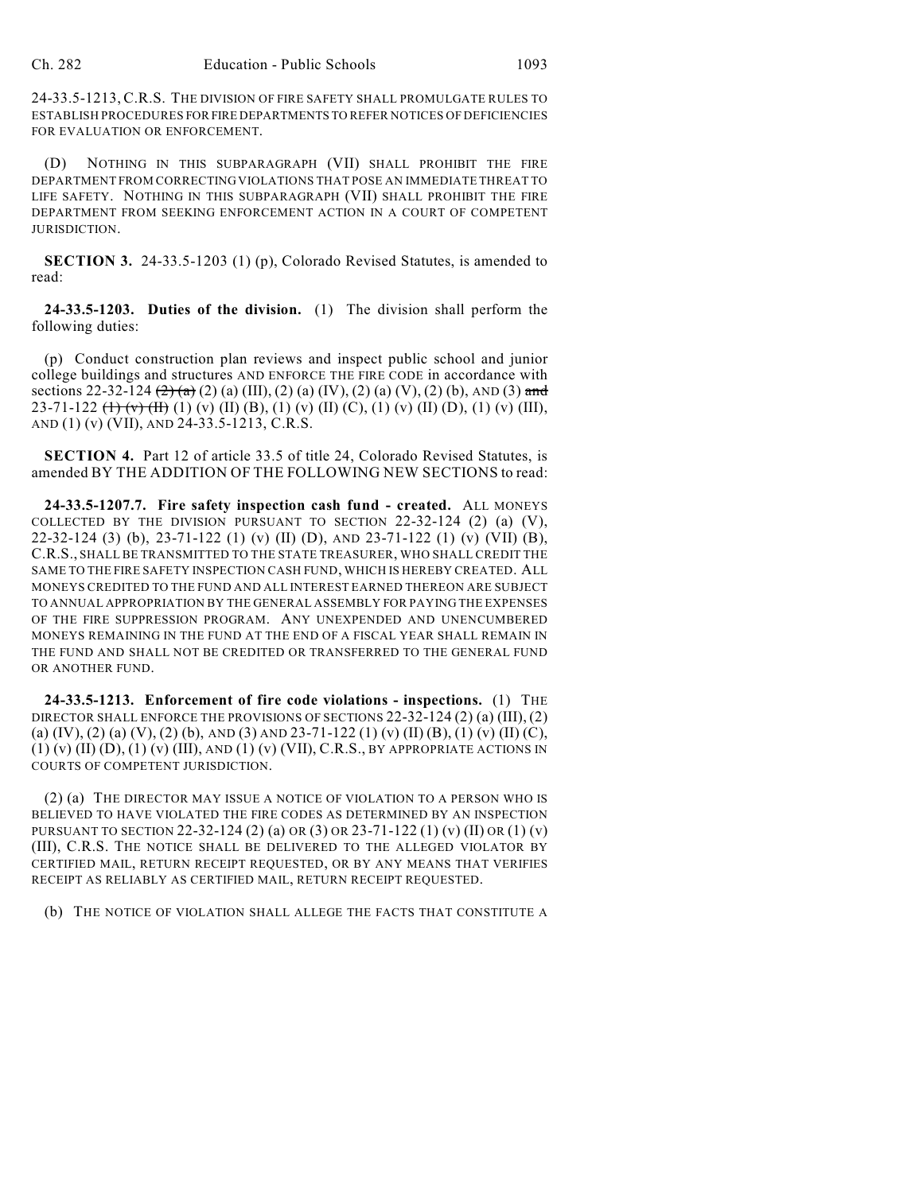24-33.5-1213, C.R.S. THE DIVISION OF FIRE SAFETY SHALL PROMULGATE RULES TO ESTABLISH PROCEDURES FOR FIRE DEPARTMENTS TO REFER NOTICES OF DEFICIENCIES FOR EVALUATION OR ENFORCEMENT.

(D) NOTHING IN THIS SUBPARAGRAPH (VII) SHALL PROHIBIT THE FIRE DEPARTMENT FROM CORRECTING VIOLATIONS THAT POSE AN IMMEDIATE THREAT TO LIFE SAFETY. NOTHING IN THIS SUBPARAGRAPH (VII) SHALL PROHIBIT THE FIRE DEPARTMENT FROM SEEKING ENFORCEMENT ACTION IN A COURT OF COMPETENT JURISDICTION.

**SECTION 3.** 24-33.5-1203 (1) (p), Colorado Revised Statutes, is amended to read:

**24-33.5-1203. Duties of the division.** (1) The division shall perform the following duties:

(p) Conduct construction plan reviews and inspect public school and junior college buildings and structures AND ENFORCE THE FIRE CODE in accordance with sections 22-32-124  $\left(\frac{2}{a}\right)$  (a) (III), (2) (a) (IV), (2) (a) (V), (2) (b), AND (3) and 23-71-122  $(\text{+)}$   $(\text{v})$   $(\text{II})$   $(\text{v})$   $(\text{II})$   $(\text{B})$ ,  $(\text{1})$   $(\text{v})$   $(\text{II})$   $(\text{C})$ ,  $(\text{1})$   $(\text{v})$   $(\text{II})$   $(\text{I})$   $(\text{v})$   $(\text{III})$ , AND (1) (v) (VII), AND 24-33.5-1213, C.R.S.

**SECTION 4.** Part 12 of article 33.5 of title 24, Colorado Revised Statutes, is amended BY THE ADDITION OF THE FOLLOWING NEW SECTIONS to read:

**24-33.5-1207.7. Fire safety inspection cash fund - created.** ALL MONEYS COLLECTED BY THE DIVISION PURSUANT TO SECTION  $22-32-124$  (2) (a) (V), 22-32-124 (3) (b), 23-71-122 (1) (v) (II) (D), AND 23-71-122 (1) (v) (VII) (B), C.R.S., SHALL BE TRANSMITTED TO THE STATE TREASURER, WHO SHALL CREDIT THE SAME TO THE FIRE SAFETY INSPECTION CASH FUND, WHICH IS HEREBY CREATED. ALL MONEYS CREDITED TO THE FUND AND ALL INTEREST EARNED THEREON ARE SUBJECT TO ANNUAL APPROPRIATION BY THE GENERAL ASSEMBLY FOR PAYING THE EXPENSES OF THE FIRE SUPPRESSION PROGRAM. ANY UNEXPENDED AND UNENCUMBERED MONEYS REMAINING IN THE FUND AT THE END OF A FISCAL YEAR SHALL REMAIN IN THE FUND AND SHALL NOT BE CREDITED OR TRANSFERRED TO THE GENERAL FUND OR ANOTHER FUND.

**24-33.5-1213. Enforcement of fire code violations - inspections.** (1) THE DIRECTOR SHALL ENFORCE THE PROVISIONS OF SECTIONS  $22-32-124(2)(a) (III), (2)$ (a) (IV), (2) (a) (V), (2) (b), AND (3) AND 23-71-122 (1) (v) (II) (B), (1) (v) (II) (C), (1) (v) (II) (D), (1) (v) (III), AND (1) (v) (VII), C.R.S., BY APPROPRIATE ACTIONS IN COURTS OF COMPETENT JURISDICTION.

(2) (a) THE DIRECTOR MAY ISSUE A NOTICE OF VIOLATION TO A PERSON WHO IS BELIEVED TO HAVE VIOLATED THE FIRE CODES AS DETERMINED BY AN INSPECTION PURSUANT TO SECTION 22-32-124 (2) (a) OR (3) OR 23-71-122 (1) (v) (II) OR (1) (v) (III), C.R.S. THE NOTICE SHALL BE DELIVERED TO THE ALLEGED VIOLATOR BY CERTIFIED MAIL, RETURN RECEIPT REQUESTED, OR BY ANY MEANS THAT VERIFIES RECEIPT AS RELIABLY AS CERTIFIED MAIL, RETURN RECEIPT REQUESTED.

(b) THE NOTICE OF VIOLATION SHALL ALLEGE THE FACTS THAT CONSTITUTE A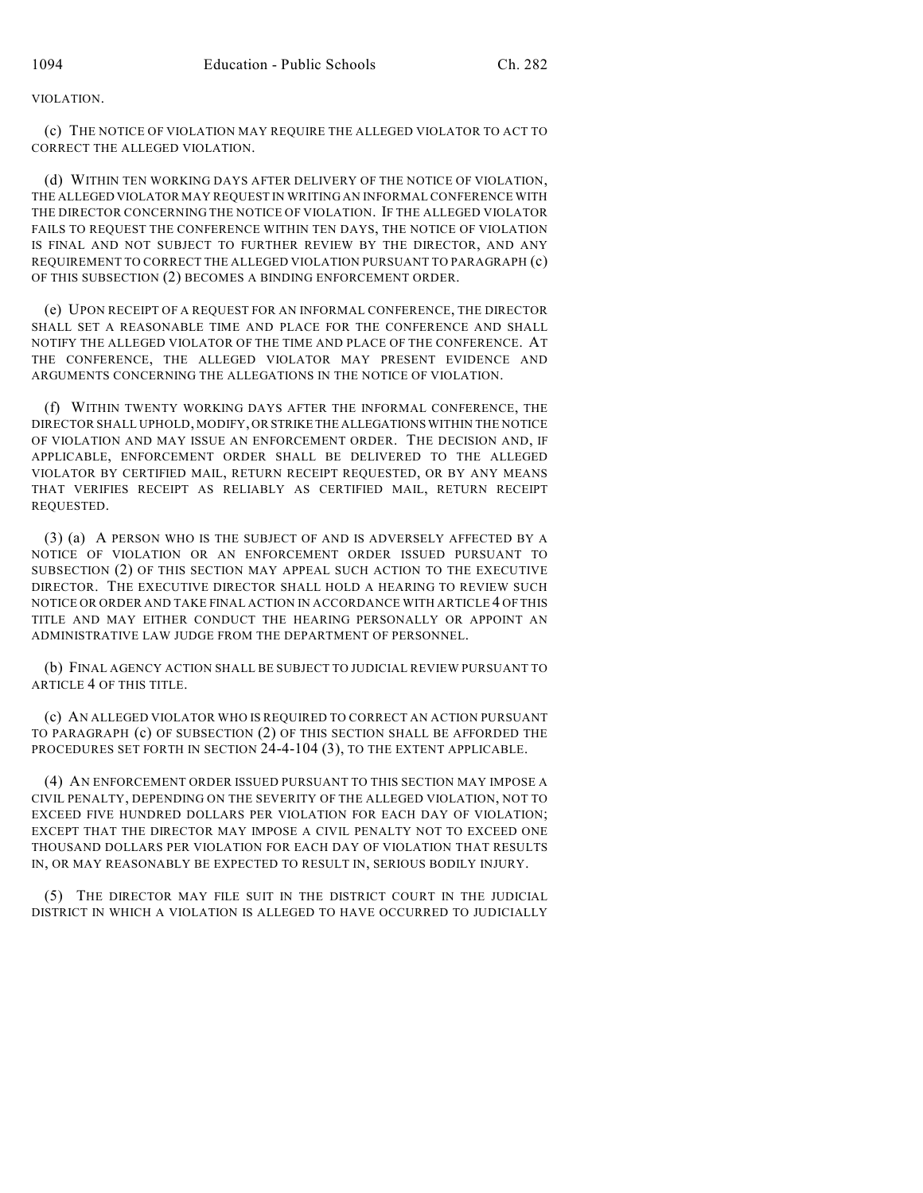VIOLATION.

(c) THE NOTICE OF VIOLATION MAY REQUIRE THE ALLEGED VIOLATOR TO ACT TO CORRECT THE ALLEGED VIOLATION.

(d) WITHIN TEN WORKING DAYS AFTER DELIVERY OF THE NOTICE OF VIOLATION, THE ALLEGED VIOLATOR MAY REQUEST IN WRITING AN INFORMAL CONFERENCE WITH THE DIRECTOR CONCERNING THE NOTICE OF VIOLATION. IF THE ALLEGED VIOLATOR FAILS TO REQUEST THE CONFERENCE WITHIN TEN DAYS, THE NOTICE OF VIOLATION IS FINAL AND NOT SUBJECT TO FURTHER REVIEW BY THE DIRECTOR, AND ANY REQUIREMENT TO CORRECT THE ALLEGED VIOLATION PURSUANT TO PARAGRAPH (c) OF THIS SUBSECTION (2) BECOMES A BINDING ENFORCEMENT ORDER.

(e) UPON RECEIPT OF A REQUEST FOR AN INFORMAL CONFERENCE, THE DIRECTOR SHALL SET A REASONABLE TIME AND PLACE FOR THE CONFERENCE AND SHALL NOTIFY THE ALLEGED VIOLATOR OF THE TIME AND PLACE OF THE CONFERENCE. AT THE CONFERENCE, THE ALLEGED VIOLATOR MAY PRESENT EVIDENCE AND ARGUMENTS CONCERNING THE ALLEGATIONS IN THE NOTICE OF VIOLATION.

(f) WITHIN TWENTY WORKING DAYS AFTER THE INFORMAL CONFERENCE, THE DIRECTOR SHALL UPHOLD, MODIFY, OR STRIKE THE ALLEGATIONS WITHIN THE NOTICE OF VIOLATION AND MAY ISSUE AN ENFORCEMENT ORDER. THE DECISION AND, IF APPLICABLE, ENFORCEMENT ORDER SHALL BE DELIVERED TO THE ALLEGED VIOLATOR BY CERTIFIED MAIL, RETURN RECEIPT REQUESTED, OR BY ANY MEANS THAT VERIFIES RECEIPT AS RELIABLY AS CERTIFIED MAIL, RETURN RECEIPT REQUESTED.

(3) (a) A PERSON WHO IS THE SUBJECT OF AND IS ADVERSELY AFFECTED BY A NOTICE OF VIOLATION OR AN ENFORCEMENT ORDER ISSUED PURSUANT TO SUBSECTION (2) OF THIS SECTION MAY APPEAL SUCH ACTION TO THE EXECUTIVE DIRECTOR. THE EXECUTIVE DIRECTOR SHALL HOLD A HEARING TO REVIEW SUCH NOTICE OR ORDER AND TAKE FINAL ACTION IN ACCORDANCE WITH ARTICLE 4 OF THIS TITLE AND MAY EITHER CONDUCT THE HEARING PERSONALLY OR APPOINT AN ADMINISTRATIVE LAW JUDGE FROM THE DEPARTMENT OF PERSONNEL.

(b) FINAL AGENCY ACTION SHALL BE SUBJECT TO JUDICIAL REVIEW PURSUANT TO ARTICLE 4 OF THIS TITLE.

(c) AN ALLEGED VIOLATOR WHO IS REQUIRED TO CORRECT AN ACTION PURSUANT TO PARAGRAPH (c) OF SUBSECTION (2) OF THIS SECTION SHALL BE AFFORDED THE PROCEDURES SET FORTH IN SECTION 24-4-104 (3), TO THE EXTENT APPLICABLE.

(4) AN ENFORCEMENT ORDER ISSUED PURSUANT TO THIS SECTION MAY IMPOSE A CIVIL PENALTY, DEPENDING ON THE SEVERITY OF THE ALLEGED VIOLATION, NOT TO EXCEED FIVE HUNDRED DOLLARS PER VIOLATION FOR EACH DAY OF VIOLATION; EXCEPT THAT THE DIRECTOR MAY IMPOSE A CIVIL PENALTY NOT TO EXCEED ONE THOUSAND DOLLARS PER VIOLATION FOR EACH DAY OF VIOLATION THAT RESULTS IN, OR MAY REASONABLY BE EXPECTED TO RESULT IN, SERIOUS BODILY INJURY.

(5) THE DIRECTOR MAY FILE SUIT IN THE DISTRICT COURT IN THE JUDICIAL DISTRICT IN WHICH A VIOLATION IS ALLEGED TO HAVE OCCURRED TO JUDICIALLY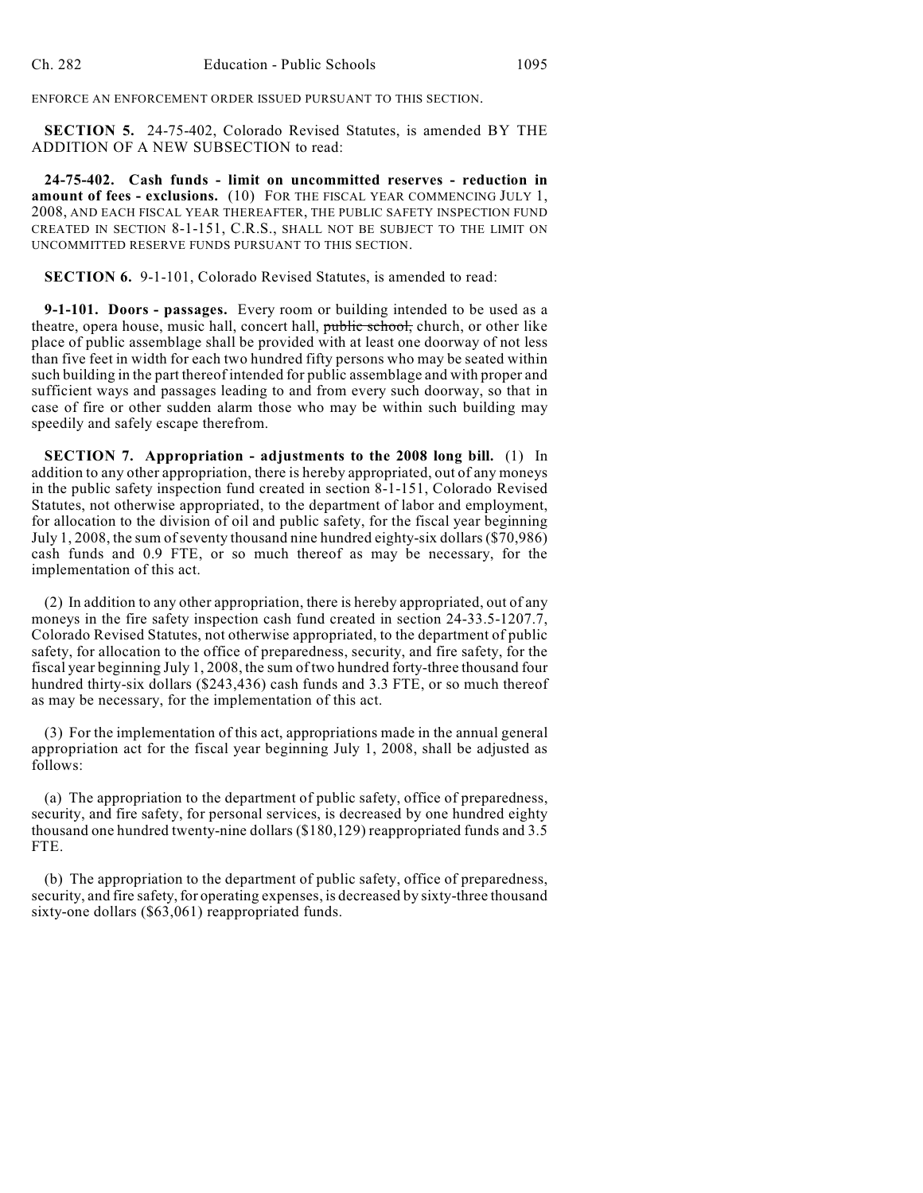ENFORCE AN ENFORCEMENT ORDER ISSUED PURSUANT TO THIS SECTION.

**SECTION 5.** 24-75-402, Colorado Revised Statutes, is amended BY THE ADDITION OF A NEW SUBSECTION to read:

**24-75-402. Cash funds - limit on uncommitted reserves - reduction in amount of fees - exclusions.** (10) FOR THE FISCAL YEAR COMMENCING JULY 1, 2008, AND EACH FISCAL YEAR THEREAFTER, THE PUBLIC SAFETY INSPECTION FUND CREATED IN SECTION 8-1-151, C.R.S., SHALL NOT BE SUBJECT TO THE LIMIT ON UNCOMMITTED RESERVE FUNDS PURSUANT TO THIS SECTION.

**SECTION 6.** 9-1-101, Colorado Revised Statures, is amended to read:

**9-1-101. Doors - passages.** Every room or building intended to be used as a theatre, opera house, music hall, concert hall, public school, church, or other like place of public assemblage shall be provided with at least one doorway of not less than five feet in width for each two hundred fifty persons who may be seated within such building in the part thereof intended for public assemblage and with proper and sufficient ways and passages leading to and from every such doorway, so that in case of fire or other sudden alarm those who may be within such building may speedily and safely escape therefrom.

**SECTION 7. Appropriation - adjustments to the 2008 long bill.** (1) In addition to any other appropriation, there is hereby appropriated, out of any moneys in the public safety inspection fund created in section 8-1-151, Colorado Revised Statutes, not otherwise appropriated, to the department of labor and employment, for allocation to the division of oil and public safety, for the fiscal year beginning July 1, 2008, the sum of seventy thousand nine hundred eighty-six dollars (\$70,986) cash funds and 0.9 FTE, or so much thereof as may be necessary, for the implementation of this act.

(2) In addition to any other appropriation, there is hereby appropriated, out of any moneys in the fire safety inspection cash fund created in section 24-33.5-1207.7, Colorado Revised Statutes, not otherwise appropriated, to the department of public safety, for allocation to the office of preparedness, security, and fire safety, for the fiscal year beginning July 1, 2008, the sum of two hundred forty-three thousand four hundred thirty-six dollars (\$243,436) cash funds and 3.3 FTE, or so much thereof as may be necessary, for the implementation of this act.

(3) For the implementation of this act, appropriations made in the annual general appropriation act for the fiscal year beginning July 1, 2008, shall be adjusted as follows:

(a) The appropriation to the department of public safety, office of preparedness, security, and fire safety, for personal services, is decreased by one hundred eighty thousand one hundred twenty-nine dollars (\$180,129) reappropriated funds and 3.5 FTE.

(b) The appropriation to the department of public safety, office of preparedness, security, and fire safety, for operating expenses, is decreased by sixty-three thousand sixty-one dollars (\$63,061) reappropriated funds.